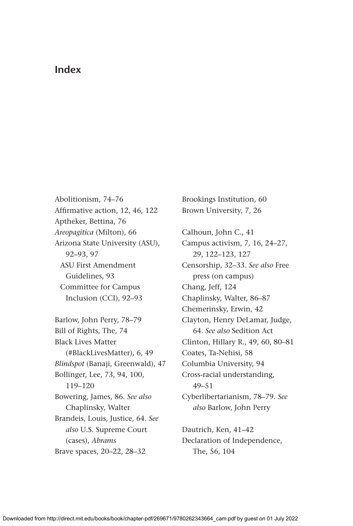## **Index**

Abolitionism, 74–76 Affirmative action, 12, 46, 122 Aptheker, Bettina, 76 *Areopagitica* (Milton), 66 Arizona State University (ASU), 92–93, 97 ASU First Amendment Guidelines, 93 Committee for Campus Inclusion (CCI), 92–93 Barlow, John Perry, 78–79 Bill of Rights, The, 74 Black Lives Matter (#BlackLivesMatter), 6, 49 *Blindspot* (Banaji, Greenwald), 47 Bollinger, Lee, 73, 94, 100, 119–120 Bowering, James, 86. *See also*  Chaplinsky, Walter Brandeis, Louis, Justice, 64. *See also* U.S. Supreme Court (cases), *Abrams* Brave spaces, 20–22, 28–32

Brookings Institution, 60 Brown University, 7, 26 Calhoun, John C., 41 Campus activism, 7, 16, 24–27, 29, 122–123, 127 Censorship, 32–33. *See also* Free press (on campus) Chang, Jeff, 124 Chaplinsky, Walter, 86–87 Chemerinsky, Erwin, 42 Clayton, Henry DeLamar, Judge, 64. *See also* Sedition Act Clinton, Hillary R., 49, 60, 80–81 Coates, Ta-Nehisi, 58 Columbia University, 94 Cross-racial understanding, 49–51 Cyberlibertarianism, 78–79. *See also* Barlow, John Perry

Dautrich, Ken, 41–42 Declaration of Independence, The, 56, 104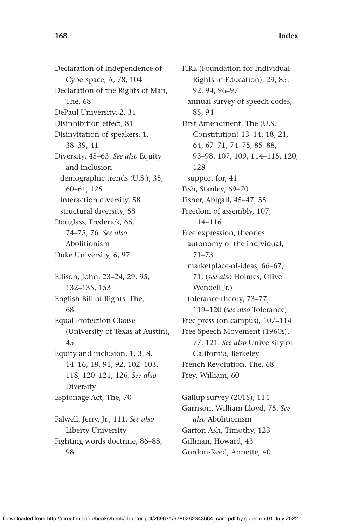Declaration of Independence of Cyberspace, A, 78, 104 Declaration of the Rights of Man, The, 68 DePaul University, 2, 31 Disinhibition effect, 81 Disinvitation of speakers, 1, 38–39, 41 Diversity, 45–63. *See also* Equity and inclusion demographic trends (U.S.), 35, 60–61, 125 interaction diversity, 58 structural diversity, 58 Douglass, Frederick, 66, 74–75, 76. *See also* Abolitionism Duke University, 6, 97 Ellison, John, 23–24, 29, 95, 132–135, 153 English Bill of Rights, The,

68 Equal Protection Clause (University of Texas at Austin), 45 Equity and inclusion, 1, 3, 8, 14–16, 18, 91, 92, 102–103, 118, 120–121, 126. *See also* Diversity Espionage Act, The, 70

Falwell, Jerry, Jr., 111. *See also* Liberty University Fighting words doctrine, 86–88, 98

FIRE (Foundation for Individual Rights in Education), 29, 85, 92, 94, 96–97 annual survey of speech codes, 85, 94 First Amendment, The (U.S. Constitution) 13–14, 18, 21, 64, 67–71, 74–75, 85–88, 93–98, 107, 109, 114–115, 120, 128 support for, 41 Fish, Stanley, 69–70 Fisher, Abigail, 45–47, 55 Freedom of assembly, 107, 114–116 Free expression, theories autonomy of the individual, 71–73 marketplace-of-ideas, 66–67, 71. (*see also* Holmes, Oliver Wendell Jr.) tolerance theory, 73–77, 119–120 (s*ee also* Tolerance) Free press (on campus), 107–114 Free Speech Movement (1960s), 77, 121. *See also* University of California, Berkeley French Revolution, The, 68 Frey, William, 60

Gallup survey (2015), 114 Garrison, William Lloyd, 75. *See also* Abolitionism Garton Ash, Timothy, 123 Gillman, Howard, 43 Gordon-Reed, Annette, 40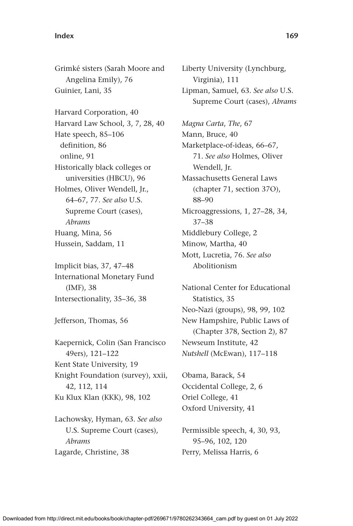## **Index 169**

Grimké sisters (Sarah Moore and Angelina Emily), 76 Guinier, Lani, 35 Harvard Corporation, 40 Harvard Law School, 3, 7, 28, 40 Hate speech, 85–106 definition, 86 online, 91 Historically black colleges or universities (HBCU), 96 Holmes, Oliver Wendell, Jr., 64–67, 77. *See also* U.S. Supreme Court (cases), *Abrams* Huang, Mina, 56 Hussein, Saddam, 11

Implicit bias, 37, 47–48 International Monetary Fund (IMF), 38 Intersectionality, 35–36, 38

Jefferson, Thomas, 56

Kaepernick, Colin (San Francisco 49ers), 121–122 Kent State University, 19 Knight Foundation (survey), xxii, 42, 112, 114 Ku Klux Klan (KKK), 98, 102

Lachowsky, Hyman, 63. *See also* U.S. Supreme Court (cases), *Abrams* Lagarde, Christine, 38

Liberty University (Lynchburg, Virginia), 111 Lipman, Samuel, 63. *See also* U.S. Supreme Court (cases), *Abrams Magna Carta*, *The*, 67 Mann, Bruce, 40 Marketplace-of-ideas, 66–67, 71. *See also* Holmes, Oliver Wendell, Jr. Massachusetts General Laws (chapter 71, section 37O), 88–90 Microaggressions, 1, 27–28, 34, 37–38 Middlebury College, 2 Minow, Martha, 40 Mott, Lucretia, 76. *See also* Abolitionism

National Center for Educational Statistics, 35 Neo-Nazi (groups), 98, 99, 102 New Hampshire, Public Laws of (Chapter 378, Section 2), 87 Newseum Institute, 42 *Nutshell* (McEwan), 117–118

Obama, Barack, 54 Occidental College, 2, 6 Oriel College, 41 Oxford University, 41

## Permissible speech, 4, 30, 93, 95–96, 102, 120 Perry, Melissa Harris, 6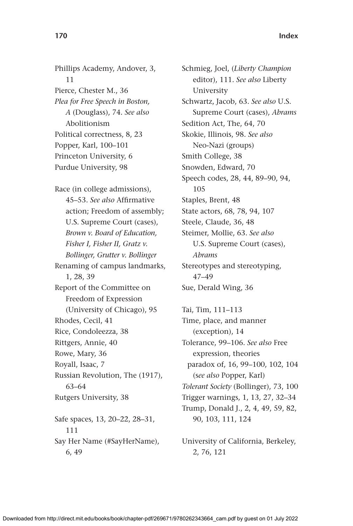Phillips Academy, Andover, 3, 11 Pierce, Chester M., 36 *Plea for Free Speech in Boston, A* (Douglass), 74*. See also*  Abolitionism Political correctness, 8, 23 Popper, Karl, 100–101 Princeton University, 6 Purdue University, 98

Race (in college admissions), 45–53. *See also* Affirmative action; Freedom of assembly; U.S. Supreme Court (cases), *Brown v. Board of Education, Fisher I, Fisher II, Gratz v. Bollinger, Grutter v. Bollinger* Renaming of campus landmarks, 1, 28, 39 Report of the Committee on Freedom of Expression (University of Chicago), 95 Rhodes, Cecil, 41 Rice, Condoleezza, 38 Rittgers, Annie, 40 Rowe, Mary, 36 Royall, Isaac, 7 Russian Revolution, The (1917), 63–64 Rutgers University, 38 Safe spaces, 13, 20–22, 28–31, 111 Say Her Name (#SayHerName), 6, 49

Schmieg, Joel, (*Liberty Champion* editor), 111. *See also* Liberty University Schwartz, Jacob, 63. *See also* U.S. Supreme Court (cases), *Abrams* Sedition Act, The, 64, 70 Skokie, Illinois, 98. *See also* Neo-Nazi (groups) Smith College, 38 Snowden, Edward, 70 Speech codes, 28, 44, 89–90, 94, 105 Staples, Brent, 48 State actors, 68, 78, 94, 107 Steele, Claude, 36, 48 Steimer, Mollie, 63. *See also* U.S. Supreme Court (cases), *Abrams* Stereotypes and stereotyping, 47–49 Sue, Derald Wing, 36

Tai, Tim, 111–113 Time, place, and manner (exception), 14 Tolerance, 99–106. *See also* Free expression, theories paradox of, 16, 99–100, 102, 104 (s*ee also* Popper, Karl) *Tolerant Society* (Bollinger), 73, 100 Trigger warnings, 1, 13, 27, 32–34 Trump, Donald J., 2, 4, 49, 59, 82, 90, 103, 111, 124

University of California, Berkeley, 2, 76, 121